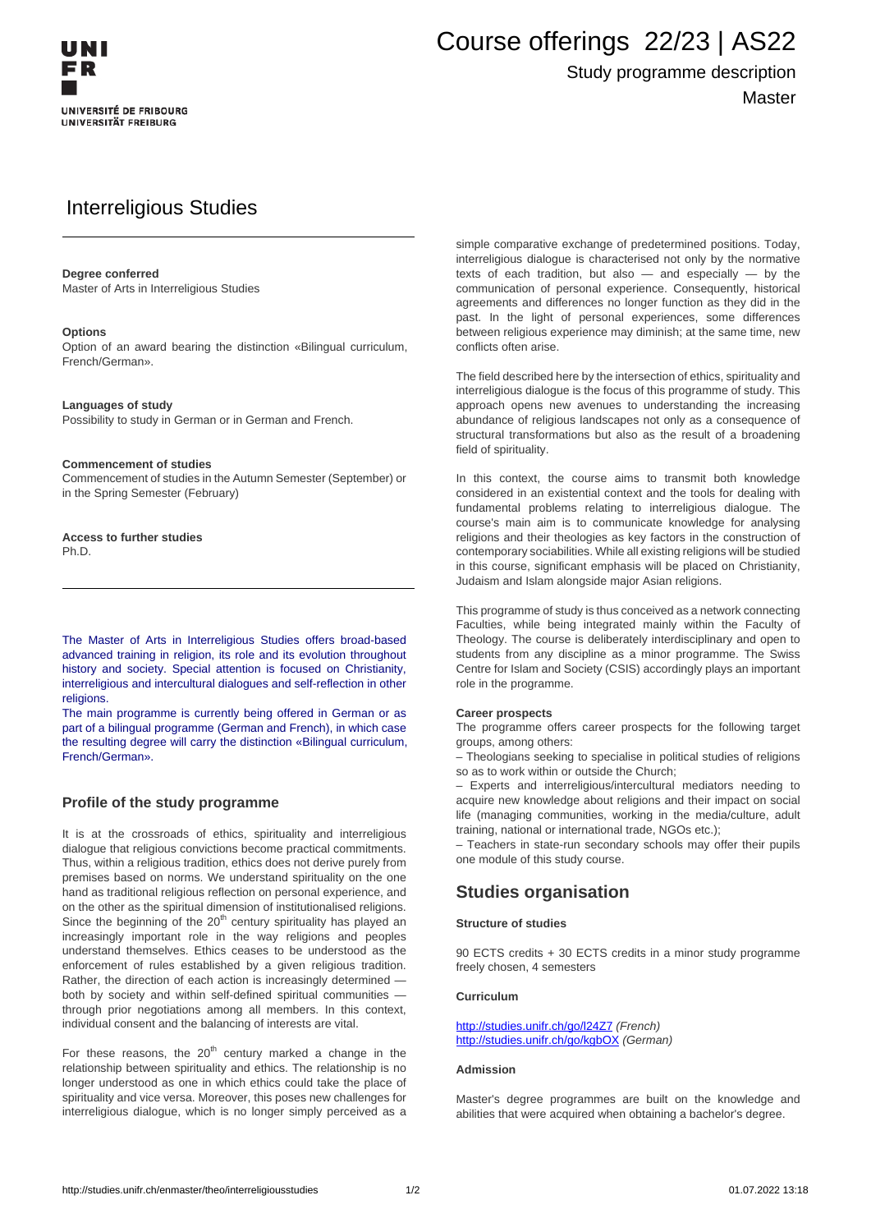

# Course offerings 22/23 | AS22

## Study programme description **Master**

# Interreligious Studies

#### **Degree conferred**

Master of Arts in Interreligious Studies

#### **Options**

Option of an award bearing the distinction «Bilingual curriculum, French/German».

#### **Languages of study**

Possibility to study in German or in German and French.

#### **Commencement of studies**

Commencement of studies in the Autumn Semester (September) or in the Spring Semester (February)

**Access to further studies** Ph.D.

The Master of Arts in Interreligious Studies offers broad-based advanced training in religion, its role and its evolution throughout history and society. Special attention is focused on Christianity, interreligious and intercultural dialogues and self-reflection in other religions.

The main programme is currently being offered in German or as part of a bilingual programme (German and French), in which case the resulting degree will carry the distinction «Bilingual curriculum, French/German».

#### **Profile of the study programme**

It is at the crossroads of ethics, spirituality and interreligious dialogue that religious convictions become practical commitments. Thus, within a religious tradition, ethics does not derive purely from premises based on norms. We understand spirituality on the one hand as traditional religious reflection on personal experience, and on the other as the spiritual dimension of institutionalised religions. Since the beginning of the  $20<sup>th</sup>$  century spirituality has played an increasingly important role in the way religions and peoples understand themselves. Ethics ceases to be understood as the enforcement of rules established by a given religious tradition. Rather, the direction of each action is increasingly determined both by society and within self-defined spiritual communities through prior negotiations among all members. In this context, individual consent and the balancing of interests are vital.

For these reasons, the  $20<sup>th</sup>$  century marked a change in the relationship between spirituality and ethics. The relationship is no longer understood as one in which ethics could take the place of spirituality and vice versa. Moreover, this poses new challenges for interreligious dialogue, which is no longer simply perceived as a

simple comparative exchange of predetermined positions. Today, interreligious dialogue is characterised not only by the normative texts of each tradition, but also  $-$  and especially  $-$  by the communication of personal experience. Consequently, historical agreements and differences no longer function as they did in the past. In the light of personal experiences, some differences between religious experience may diminish; at the same time, new conflicts often arise.

The field described here by the intersection of ethics, spirituality and interreligious dialogue is the focus of this programme of study. This approach opens new avenues to understanding the increasing abundance of religious landscapes not only as a consequence of structural transformations but also as the result of a broadening field of spirituality.

In this context, the course aims to transmit both knowledge considered in an existential context and the tools for dealing with fundamental problems relating to interreligious dialogue. The course's main aim is to communicate knowledge for analysing religions and their theologies as key factors in the construction of contemporary sociabilities. While all existing religions will be studied in this course, significant emphasis will be placed on Christianity, Judaism and Islam alongside major Asian religions.

This programme of study is thus conceived as a network connecting Faculties, while being integrated mainly within the Faculty of Theology. The course is deliberately interdisciplinary and open to students from any discipline as a minor programme. The Swiss Centre for Islam and Society (CSIS) accordingly plays an important role in the programme.

#### **Career prospects**

The programme offers career prospects for the following target groups, among others:

– Theologians seeking to specialise in political studies of religions so as to work within or outside the Church;

– Experts and interreligious/intercultural mediators needing to acquire new knowledge about religions and their impact on social life (managing communities, working in the media/culture, adult training, national or international trade, NGOs etc.);

– Teachers in state-run secondary schools may offer their pupils one module of this study course.

### **Studies organisation**

#### **Structure of studies**

90 ECTS credits + 30 ECTS credits in a minor study programme freely chosen, 4 semesters

#### **Curriculum**

<http://studies.unifr.ch/go/l24Z7> (French) http://studies.unifr.ch/go/kgbOX (German)

#### **Admission**

Master's degree programmes are built on the knowledge and abilities that were acquired when obtaining a bachelor's degree.